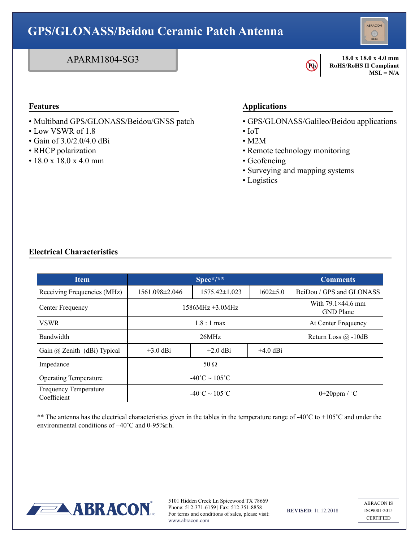## ABRACON **GPS/GLONASS/Beidou Ceramic Patch Antenna** APARM1804-SG3 **18.0 x 18.0 x 4.0 mm RoHS/RoHS II Compliant Pb**   $MSL = N/A$ **Features Applications**

- Multiband GPS/GLONASS/Beidou/GNSS patch
- Low VSWR of 1.8
- Gain of 3.0/2.0/4.0 dBi
- RHCP polarization
- $\cdot$  18.0 x 18.0 x 4.0 mm
- GPS/GLONASS/Galileo/Beidou applications
- IoT
- M2M
- Remote technology monitoring
- Geofencing
- Surveying and mapping systems
- Logistics

## **Electrical Characteristics**

| <b>Item</b>                          | $\sqrt{\text{Spec}^*/*}$             |                     |                | <b>Comments</b>                              |
|--------------------------------------|--------------------------------------|---------------------|----------------|----------------------------------------------|
| Receiving Frequencies (MHz)          | 1561.098±2.046                       | $1575.42 \pm 1.023$ | $1602 \pm 5.0$ | BeiDou / GPS and GLONASS                     |
| Center Frequency                     | $1586MHz \pm 3.0MHz$                 |                     |                | With $79.1\times44.6$ mm<br><b>GND</b> Plane |
| <b>VSWR</b>                          | $1.8:1 \text{ max}$                  |                     |                | At Center Frequency                          |
| Bandwidth                            | 26MHz                                |                     |                | Return Loss $\omega$ -10dB                   |
| Gain @ Zenith (dBi) Typical          | $+3.0$ dBi                           | $+2.0$ dBi          | $+4.0$ dBi     |                                              |
| Impedance                            | 50 $\Omega$                          |                     |                |                                              |
| <b>Operating Temperature</b>         | $-40^{\circ}$ C ~ 105 <sup>°</sup> C |                     |                |                                              |
| Frequency Temperature<br>Coefficient | $-40^{\circ}$ C ~ 105 <sup>°</sup> C |                     |                | $0\pm 20$ ppm / °C                           |

\*\* The antenna has the electrical characteristics given in the tables in the temperature range of -40 $^{\circ}$ C to +105 $^{\circ}$ C and under the environmental conditions of  $+40^{\circ}$ C and 0-95%r.h.



5101 Hidden Creek Ln Spicewood TX 78669 Phone: 512-371-6159 | Fax: 512-351-8858 For terms and conditions of sales, please visit: www.abracon.com

**REVISED**: 11.12.2018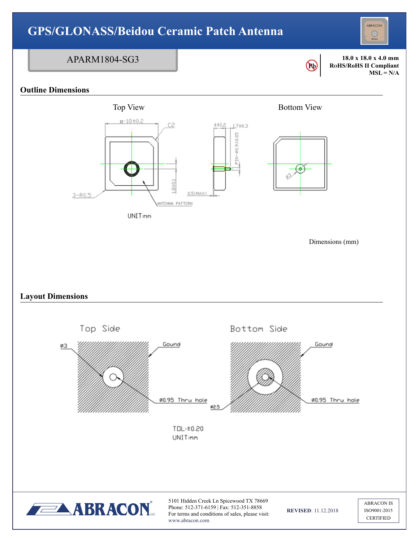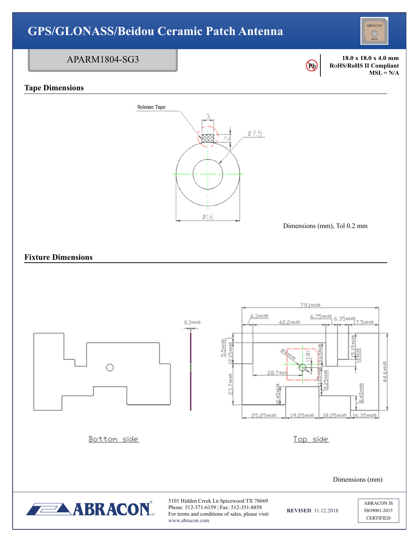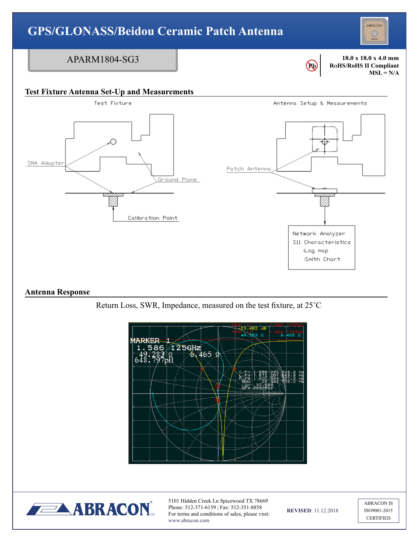



5101 Hidden Creek Ln Spicewood TX 78669 Phone: 512-371-6159 | Fax: 512-351-8858 For terms and conditions of sales, please visit: www.abracon.com

**REVISED**: 11.12.2018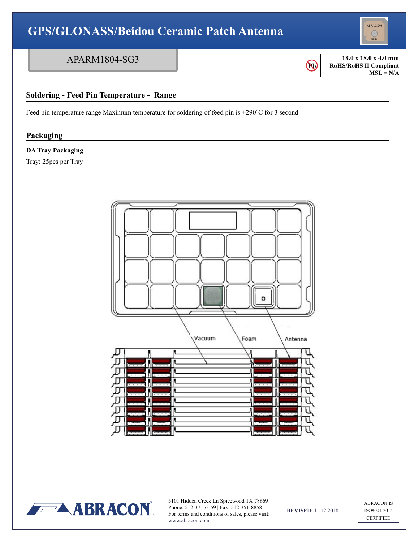



**LABRACON** 

5101 Hidden Creek Ln Spicewood TX 78669 Phone: 512-371-6159 | Fax: 512-351-8858 For terms and conditions of sales, please visit: www.abracon.com

**REVISED**: 11.12.2018